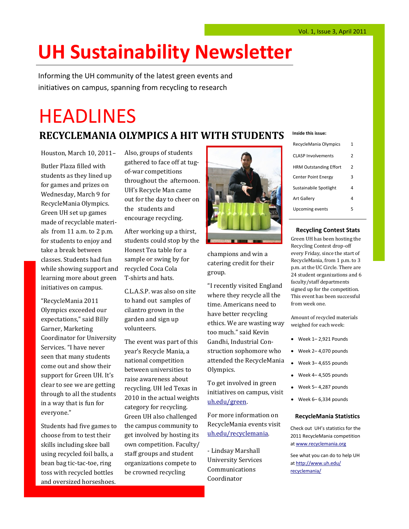# **UH Sustainability Newsletter**

Informing the UH community of the latest green events and initiatives on campus, spanning from recycling to research

# **HEADLINES**

### **RECYCLEMANIA OLYMPICS A HIT WITH STUDENTS**

Houston, March 10, 2011– Butler Plaza filled with students as they lined up for games and prizes on Wednesday, March 9 for RecycleMania Olympics. Green UH set up games made of recyclable materials from 11 a.m. to 2 p.m. for students to enjoy and take a break between classes. Students had fun while showing support and learning more about green initiatives on campus.

"RecycleMania 2011 Olympics exceeded our expectations," said Billy Garner, Marketing Coordinator for University Services. "I have never seen that many students come out and show their support for Green UH. It's clear to see we are getting through to all the students in a way that is fun for everyone."

Students had five games to choose from to test their skills including skee ball using recycled foil balls, a bean bag tic-tac-toe, ring toss with recycled bottles and oversized horseshoes.

Also, groups of students gathered to face off at tugof-war competitions throughout the afternoon. UH's Recycle Man came out for the day to cheer on the students and encourage recycling.

After working up a thirst, students could stop by the Honest Tea table for a sample or swing by for recycled Coca Cola T-shirts and hats.

C.L.A.S.P. was also on site to hand out samples of cilantro grown in the garden and sign up volunteers.

The event was part of this year's Recycle Mania, a national competition between universities to raise awareness about recycling. UH led Texas in 2010 in the actual weights category for recycling. Green UH also challenged the campus community to get involved by hosting its own competition. Faculty/ staff groups and student organizations compete to be crowned recycling



champions and win a catering credit for their group.

"I recently visited England where they recycle all the time. Americans need to have better recycling ethics. We are wasting way too much." said Kevin Gandhi, Industrial Construction sophomore who attended the RecycleMania Olympics.

To get involved in green initiatives on campus, visit [uh.edu/green.](http://www.uh.edu/green)

For more information on RecycleMania events visit [uh.edu/recyclemania.](http://www.uh.edu/recyclemania) 

- Lindsay Marshall University Services Communications Coordinator

#### **Inside this issue:**

| RecycleMania Olympics         | 1 |
|-------------------------------|---|
| <b>CLASP Involvements</b>     | 2 |
| <b>HRM Outstanding Effort</b> | 2 |
| <b>Center Point Energy</b>    | 3 |
| Sustainabile Spotlight        | 4 |
| <b>Art Gallery</b>            | 4 |
| Upcoming events               | 5 |
|                               |   |

#### **Recycling Contest Stats**

Green UH has been hosting the Recycling Contest drop-off every Friday, since the start of RecycleMania, from 1 p.m. to 3 p.m. at the UC Circle. There are 24 student organizations and 6 faculty/staff departments signed up for the competition. This event has been successful from week one.

Amount of recycled materials weighed for each week:

- Week 1– 2,921 Pounds
- Week 2– 4,070 pounds
- Week 3– 4,655 pounds
- Week 4– 4,505 pounds
- Week 5– 4,287 pounds
- $\bullet$  Week 6–6,334 pounds

#### **RecycleMania Statistics**

Check out UH's statistics for the 2011 RecycleMania competition at [www.recyclemania.org](http://www.recyclemania.org)

See what you can do to help UH at [http://www.uh.edu/](http://www.uh.edu/recyclemania/) [recyclemania/](http://www.uh.edu/recyclemania/)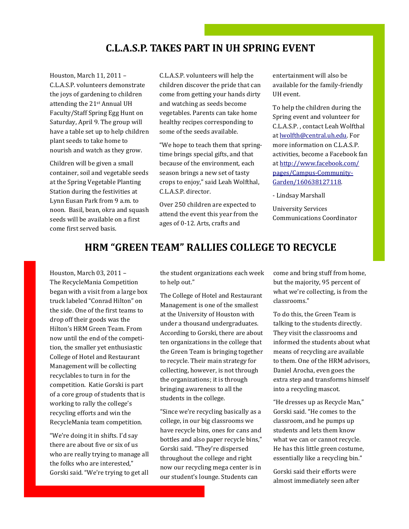#### **C.L.A.S.P. TAKES PART IN UH SPRING EVENT**

Page 2 UH Sustainability Newsletter

Houston, March 11, 2011 – C.L.A.S.P. volunteers demonstrate the joys of gardening to children attending the 21st Annual UH Faculty/Staff Spring Egg Hunt on Saturday, April 9. The group will have a table set up to help children plant seeds to take home to nourish and watch as they grow.

Children will be given a small container, soil and vegetable seeds at the Spring Vegetable Planting Station during the festivities at Lynn Eusan Park from 9 a.m. to noon. Basil, bean, okra and squash seeds will be available on a first come first served basis.

C.L.A.S.P. volunteers will help the children discover the pride that can come from getting your hands dirty and watching as seeds become vegetables. Parents can take home healthy recipes corresponding to some of the seeds available.

"We hope to teach them that springtime brings special gifts, and that because of the environment, each season brings a new set of tasty crops to enjoy," said Leah Wolfthal, C.L.A.S.P. director.

Over 250 children are expected to attend the event this year from the ages of 0-12. Arts, crafts and

entertainment will also be available for the family-friendly UH event.

To help the children during the Spring event and volunteer for C.L.A.S.P. , contact Leah Wolfthal at [lwolfth@central.uh.edu.](mailto:lwolfth@central.uh.edu) For more information on C.L.A.S.P. activities, become a Facebook fan at [http://www.facebook.com/](http://www.facebook.com/pages/Campus-Community-Garden/160638127118) [pages/Campus-Community-](http://www.facebook.com/pages/Campus-Community-Garden/160638127118)[Garden/160638127118.](http://www.facebook.com/pages/Campus-Community-Garden/160638127118)

- Lindsay Marshall

University Services Communications Coordinator

#### **HRM "GREEN TEAM" RALLIES COLLEGE TO RECYCLE**

Houston, March 03, 2011 – The RecycleMania Competition began with a visit from a large box truck labeled "Conrad Hilton" on the side. One of the first teams to drop off their goods was the Hilton's HRM Green Team. From now until the end of the competition, the smaller yet enthusiastic College of Hotel and Restaurant Management will be collecting recyclables to turn in for the competition. Katie Gorski is part of a core group of students that is working to rally the college's recycling efforts and win the RecycleMania team competition.

"We're doing it in shifts. I'd say there are about five or six of us who are really trying to manage all the folks who are interested," Gorski said. "We're trying to get all the student organizations each week to help out."

The College of Hotel and Restaurant Management is one of the smallest at the University of Houston with under a thousand undergraduates. According to Gorski, there are about ten organizations in the college that the Green Team is bringing together to recycle. Their main strategy for collecting, however, is not through the organizations; it is through bringing awareness to all the students in the college.

"Since we're recycling basically as a college, in our big classrooms we have recycle bins, ones for cans and bottles and also paper recycle bins," Gorski said. "They're dispersed throughout the college and right now our recycling mega center is in our student's lounge. Students can

come and bring stuff from home, but the majority, 95 percent of what we're collecting, is from the classrooms."

To do this, the Green Team is talking to the students directly. They visit the classrooms and informed the students about what means of recycling are available to them. One of the HRM advisors, Daniel Arocha, even goes the extra step and transforms himself into a recycling mascot.

"He dresses up as Recycle Man," Gorski said. "He comes to the classroom, and he pumps up students and lets them know what we can or cannot recycle. He has this little green costume, essentially like a recycling bin."

Gorski said their efforts were almost immediately seen after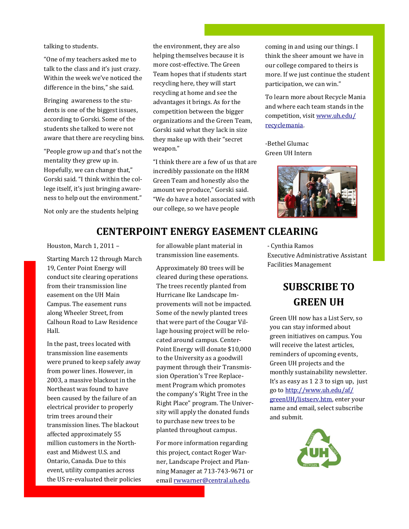talking to students.

"One of my teachers asked me to talk to the class and it's just crazy. Within the week we've noticed the difference in the bins," she said.

Bringing awareness to the students is one of the biggest issues, according to Gorski. Some of the students she talked to were not aware that there are recycling bins.

"People grow up and that's not the mentality they grew up in. Hopefully, we can change that," Gorski said. "I think within the college itself, it's just bringing awareness to help out the environment."

Not only are the students helping

the environment, they are also helping themselves because it is more cost-effective. The Green Team hopes that if students start recycling here, they will start recycling at home and see the advantages it brings. As for the competition between the bigger organizations and the Green Team, Gorski said what they lack in size they make up with their "secret weapon."

April Edition Page 3

"I think there are a few of us that are incredibly passionate on the HRM Green Team and honestly also the amount we produce," Gorski said. "We do have a hotel associated with our college, so we have people

coming in and using our things. I think the sheer amount we have in our college compared to theirs is more. If we just continue the student participation, we can win."

To learn more about Recycle Mania and where each team stands in the competition, visit [www.uh.edu/](http://www.uh.edu/af/recyclemania/) [recyclemania.](http://www.uh.edu/af/recyclemania/)

-Bethel Glumac Green UH Intern



#### **CENTERPOINT ENERGY EASEMENT CLEARING**

Houston, March 1, 2011 –

Starting March 12 through March 19, Center Point Energy will conduct site clearing operations from their transmission line easement on the UH Main Campus. The easement runs along Wheeler Street, from Calhoun Road to Law Residence Hall.

In the past, trees located with transmission line easements were pruned to keep safely away from power lines. However, in 2003, a massive blackout in the Northeast was found to have been caused by the failure of an electrical provider to properly trim trees around their transmission lines. The blackout affected approximately 55 million customers in the Northeast and Midwest U.S. and Ontario, Canada. Due to this event, utility companies across the US re-evaluated their policies for allowable plant material in transmission line easements.

Approximately 80 trees will be cleared during these operations. The trees recently planted from Hurricane Ike Landscape Improvements will not be impacted. Some of the newly planted trees that were part of the Cougar Village housing project will be relocated around campus. Center-Point Energy will donate \$10,000 to the University as a goodwill payment through their Transmission Operation's Tree Replacement Program which promotes the company's 'Right Tree in the Right Place" program. The University will apply the donated funds to purchase new trees to be planted throughout campus.

For more information regarding this project, contact Roger Warner, Landscape Project and Planning Manager at 713-743-9671 or email [rwwarner@central.uh.edu.](mailto:rwwarner@central.uh.edu)

- Cynthia Ramos Executive Administrative Assistant Facilities Management

## **SUBSCRIBE TO GREEN UH**

Green UH now has a List Serv, so you can stay informed about green initiatives on campus. You will receive the latest articles, reminders of upcoming events, Green UH projects and the monthly sustainability newsletter. It's as easy as 1 2 3 to sign up, just go to [http://www.uh.edu/af/](http://www.uh.edu/af/greenUH/listserv.htm) [greenUH/listserv.htm,](http://www.uh.edu/af/greenUH/listserv.htm) enter your name and email, select subscribe and submit.

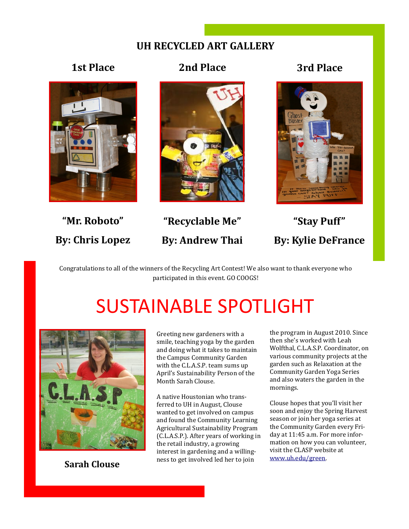#### **UH RECYCLED ART GALLERY**





**"Mr. Roboto"**

**By: Chris Lopez**



**"Recyclable Me" By: Andrew Thai**

**"Stay Puff" By: Kylie DeFrance**

Congratulations to all of the winners of the Recycling Art Contest! We also want to thank everyone who participated in this event. GO COOGS!

# SUSTAINABLE SPOTLIGHT



**Sarah Clouse**

Greeting new gardeners with a smile, teaching yoga by the garden and doing what it takes to maintain the Campus Community Garden with the C.L.A.S.P. team sums up April's Sustainability Person of the Month Sarah Clouse.

A native Houstonian who transferred to UH in August, Clouse wanted to get involved on campus and found the Community Learning Agricultural Sustainability Program (C.L.A.S.P.). After years of working in the retail industry, a growing interest in gardening and a willingness to get involved led her to join

the program in August 2010. Since then she's worked with Leah Wolfthal, C.L.A.S.P. Coordinator, on various community projects at the garden such as Relaxation at the Community Garden Yoga Series and also waters the garden in the mornings.

Clouse hopes that you'll visit her soon and enjoy the Spring Harvest season or join her yoga series at the Community Garden every Friday at 11:45 a.m. For more information on how you can volunteer, visit the CLASP website at [www.uh.edu/green.](http://www.uh.edu/af/greenUH/)